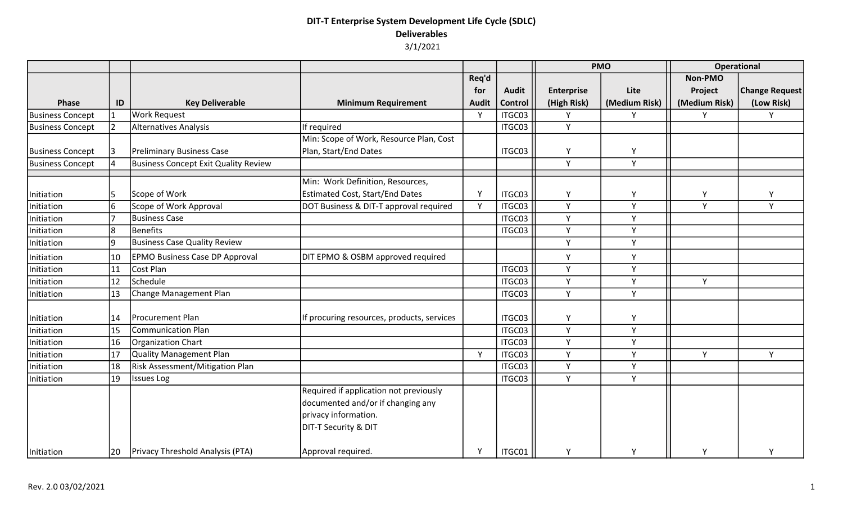|                         |    |                                       |                                            |              |              | <b>PMO</b>        |               | <b>Operational</b> |                       |
|-------------------------|----|---------------------------------------|--------------------------------------------|--------------|--------------|-------------------|---------------|--------------------|-----------------------|
|                         |    |                                       |                                            | Req'd        |              |                   |               | Non-PMO            |                       |
|                         |    |                                       |                                            | for          | <b>Audit</b> | <b>Enterprise</b> | Lite          | Project            | <b>Change Request</b> |
| <b>Phase</b>            | ID | <b>Key Deliverable</b>                | <b>Minimum Requirement</b>                 | <b>Audit</b> | Control      | (High Risk)       | (Medium Risk) | (Medium Risk)      | (Low Risk)            |
| <b>Business Concept</b> | 1  | <b>Work Request</b>                   |                                            | Y            | ITGC03       | Y                 | Y             | Y                  | Y                     |
| <b>Business Concept</b> |    | Alternatives Analysis                 | If required                                |              | ITGC03       | Y                 |               |                    |                       |
|                         |    |                                       | Min: Scope of Work, Resource Plan, Cost    |              |              |                   |               |                    |                       |
| <b>Business Concept</b> | 3  | <b>Preliminary Business Case</b>      | Plan, Start/End Dates                      |              | ITGC03       | Υ                 | Y             |                    |                       |
| <b>Business Concept</b> |    | Business Concept Exit Quality Review  |                                            |              |              | Y                 | Υ             |                    |                       |
|                         |    |                                       | Min: Work Definition, Resources,           |              |              |                   |               |                    |                       |
| Initiation              |    | Scope of Work                         | <b>Estimated Cost, Start/End Dates</b>     | Y            | ITGC03       | Υ                 | Y             | Υ                  | Υ                     |
| Initiation              | l6 | Scope of Work Approval                | DOT Business & DIT-T approval required     | Y            | ITGC03       | Y                 | Y             | Y                  | Y                     |
| Initiation              |    | <b>Business Case</b>                  |                                            |              | ITGC03       | Y                 | Y             |                    |                       |
| Initiation              | 8  | Benefits                              |                                            |              | ITGC03       | Y                 | Y             |                    |                       |
| Initiation              | وا | Business Case Quality Review          |                                            |              |              | Y                 | Y             |                    |                       |
| Initiation              | 10 | <b>EPMO Business Case DP Approval</b> | DIT EPMO & OSBM approved required          |              |              | Y                 | Y             |                    |                       |
| Initiation              | 11 | Cost Plan                             |                                            |              | ITGC03       | Y                 | Y             |                    |                       |
| Initiation              | 12 | Schedule                              |                                            |              | ITGC03       | Y                 | Y             | Y                  |                       |
| Initiation              | 13 | Change Management Plan                |                                            |              | ITGC03       | Y                 | Y             |                    |                       |
| Initiation              | 14 | <b>Procurement Plan</b>               | If procuring resources, products, services |              | ITGC03       | Y                 | Υ             |                    |                       |
| Initiation              | 15 | Communication Plan                    |                                            |              | ITGC03       | Y                 | Y             |                    |                       |
| Initiation              | 16 | Organization Chart                    |                                            |              | ITGC03       | Y                 | Y             |                    |                       |
| Initiation              | 17 | Quality Management Plan               |                                            | Y            | ITGC03       | Y                 | Y             | Y                  | Y                     |
| Initiation              | 18 | Risk Assessment/Mitigation Plan       |                                            |              | ITGC03       | Y                 | Y             |                    |                       |
| Initiation              | 19 | <b>Issues Log</b>                     |                                            |              | ITGC03       | Y                 | Y             |                    |                       |
|                         |    |                                       | Required if application not previously     |              |              |                   |               |                    |                       |
|                         |    |                                       | documented and/or if changing any          |              |              |                   |               |                    |                       |
|                         |    |                                       | privacy information.                       |              |              |                   |               |                    |                       |
|                         |    |                                       | <b>DIT-T Security &amp; DIT</b>            |              |              |                   |               |                    |                       |
| Initiation              | 20 | Privacy Threshold Analysis (PTA)      | Approval required.                         | Y            | ITGC01       | Υ                 | Υ             | Y                  | Y                     |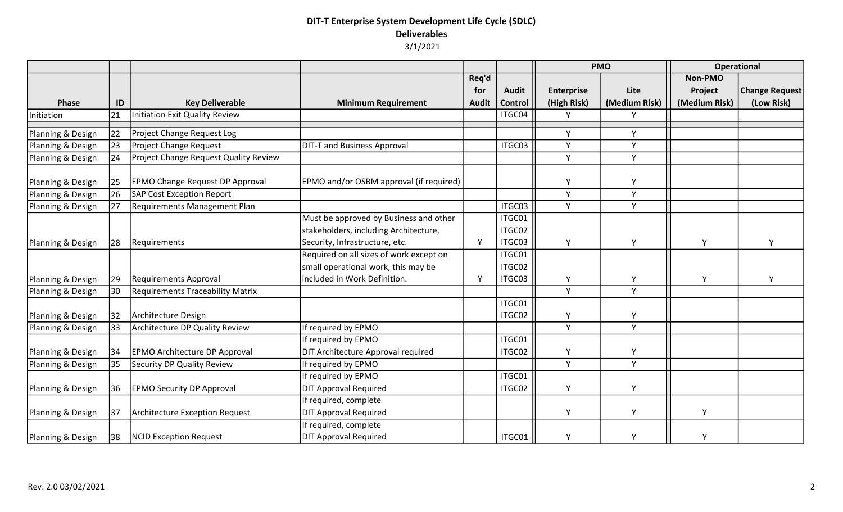|                   |       |                                              |                                                |              |              | <b>PMO</b>        |               | <b>Operational</b> |                       |
|-------------------|-------|----------------------------------------------|------------------------------------------------|--------------|--------------|-------------------|---------------|--------------------|-----------------------|
|                   |       |                                              |                                                | Req'd        |              |                   |               | Non-PMO            |                       |
|                   |       |                                              |                                                | for          | <b>Audit</b> | <b>Enterprise</b> | Lite          | Project            | <b>Change Request</b> |
| <b>Phase</b>      | ID    | <b>Key Deliverable</b>                       | <b>Minimum Requirement</b>                     | <b>Audit</b> | Control      | (High Risk)       | (Medium Risk) | (Medium Risk)      | (Low Risk)            |
| Initiation        | 21    | Initiation Exit Quality Review               |                                                |              | ITGC04       | v                 | Υ             |                    |                       |
| Planning & Design | 22    | Project Change Request Log                   |                                                |              |              | Υ                 | Y             |                    |                       |
| Planning & Design | 23    | <b>Project Change Request</b>                | <b>DIT-T and Business Approval</b>             |              | ITGC03       | Υ                 | Υ             |                    |                       |
| Planning & Design | 24    | <b>Project Change Request Quality Review</b> |                                                |              |              | Y                 | Y             |                    |                       |
| Planning & Design | 25    | <b>EPMO Change Request DP Approval</b>       | <b>EPMO</b> and/or OSBM approval (if required) |              |              | Υ                 | Υ             |                    |                       |
| Planning & Design | 26    | SAP Cost Exception Report                    |                                                |              |              | Υ                 | Υ             |                    |                       |
| Planning & Design | 27    | Requirements Management Plan                 |                                                |              | ITGC03       | Y                 | Y             |                    |                       |
|                   |       |                                              | Must be approved by Business and other         |              | ITGC01       |                   |               |                    |                       |
|                   |       |                                              | stakeholders, including Architecture,          |              | ITGC02       |                   |               |                    |                       |
| Planning & Design | 28    | Requirements                                 | Security, Infrastructure, etc.                 | Y            | ITGC03       | Υ                 | Y             | Y                  | Y                     |
|                   |       |                                              | Required on all sizes of work except on        |              | ITGC01       |                   |               |                    |                       |
|                   |       |                                              | small operational work, this may be            |              | ITGC02       |                   |               |                    |                       |
| Planning & Design | 29    | Requirements Approval                        | included in Work Definition.                   | Y            | ITGC03       | Υ                 | Υ             | Y                  | Y                     |
| Planning & Design | 30    | <b>Requirements Traceability Matrix</b>      |                                                |              |              | Y                 | Y             |                    |                       |
|                   |       |                                              |                                                |              | ITGC01       |                   |               |                    |                       |
| Planning & Design | $ 32$ | Architecture Design                          |                                                |              | ITGC02       | Υ                 | Υ             |                    |                       |
| Planning & Design | 33    | Architecture DP Quality Review               | If required by EPMO                            |              |              | Υ                 | Y             |                    |                       |
|                   |       |                                              | If required by EPMO                            |              | ITGC01       |                   |               |                    |                       |
| Planning & Design | 34    | <b>EPMO Architecture DP Approval</b>         | DIT Architecture Approval required             |              | ITGC02       | Υ                 | Υ             |                    |                       |
| Planning & Design | 35    | <b>Security DP Quality Review</b>            | If required by EPMO                            |              |              | Y                 | Y             |                    |                       |
|                   |       |                                              | If required by EPMO                            |              | ITGC01       |                   |               |                    |                       |
| Planning & Design | 36    | <b>EPMO Security DP Approval</b>             | <b>DIT Approval Required</b>                   |              | ITGC02       | Υ                 | Υ             |                    |                       |
|                   |       |                                              | If required, complete                          |              |              |                   |               |                    |                       |
| Planning & Design | 37    | Architecture Exception Request               | <b>DIT Approval Required</b>                   |              |              | Υ                 | Y             | Y                  |                       |
|                   |       |                                              | If required, complete                          |              |              |                   |               |                    |                       |
| Planning & Design | 38    | NCID Exception Request                       | <b>DIT Approval Required</b>                   |              | ITGC01       | Υ                 | Υ             | v                  |                       |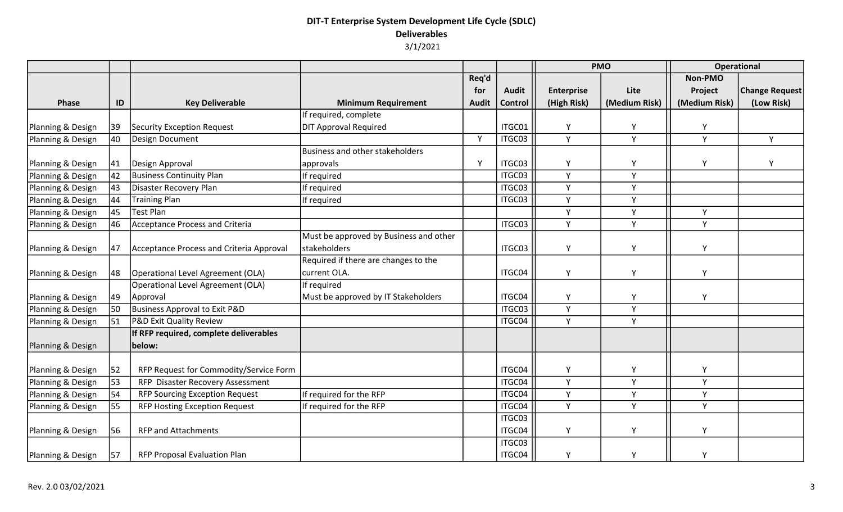|                   |              |                                          |                                        |              |              | <b>PMO</b>        |               | Operational   |                       |
|-------------------|--------------|------------------------------------------|----------------------------------------|--------------|--------------|-------------------|---------------|---------------|-----------------------|
|                   |              |                                          |                                        | Req'd        |              |                   |               | Non-PMO       |                       |
|                   |              |                                          |                                        | for          | <b>Audit</b> | <b>Enterprise</b> | Lite          | Project       | <b>Change Request</b> |
| Phase             | ID           | <b>Key Deliverable</b>                   | <b>Minimum Requirement</b>             | <b>Audit</b> | Control      | (High Risk)       | (Medium Risk) | (Medium Risk) | (Low Risk)            |
|                   |              |                                          | If required, complete                  |              |              |                   |               |               |                       |
| Planning & Design | 39           | Security Exception Request               | <b>DIT Approval Required</b>           |              | ITGC01       | Y                 | Υ             | Υ             |                       |
| Planning & Design | 40           | Design Document                          |                                        | Y            | ITGC03       | Y                 | Y             | Y             | Y                     |
|                   |              |                                          | Business and other stakeholders        |              |              |                   |               |               |                       |
| Planning & Design | $ 41\rangle$ | Design Approval                          | approvals                              | Y            | ITGC03       | Υ                 | Υ             | Υ             | Y                     |
| Planning & Design | 42           | <b>Business Continuity Plan</b>          | If required                            |              | ITGC03       | Y                 | Y             |               |                       |
| Planning & Design | 43           | Disaster Recovery Plan                   | If required                            |              | ITGC03       | Y                 | Y             |               |                       |
| Planning & Design | 44           | <b>Training Plan</b>                     | If required                            |              | ITGC03       | Y                 | Y             |               |                       |
| Planning & Design | 45           | <b>Test Plan</b>                         |                                        |              |              | Y                 | Y             | Y             |                       |
| Planning & Design | 46           | Acceptance Process and Criteria          |                                        |              | ITGC03       | Y                 | Y             | Y             |                       |
|                   |              |                                          | Must be approved by Business and other |              |              |                   |               |               |                       |
| Planning & Design | 47           | Acceptance Process and Criteria Approval | stakeholders                           |              | ITGC03       | Υ                 | Υ             | Y             |                       |
|                   |              |                                          | Required if there are changes to the   |              |              |                   |               |               |                       |
| Planning & Design | 48           | Operational Level Agreement (OLA)        | current OLA.                           |              | ITGC04       | Y                 | Υ             | Y             |                       |
|                   |              | Operational Level Agreement (OLA)        | If required                            |              |              |                   |               |               |                       |
| Planning & Design | 49           | Approval                                 | Must be approved by IT Stakeholders    |              | ITGC04       | Y                 | Υ             | Y             |                       |
| Planning & Design | 50           | Business Approval to Exit P&D            |                                        |              | ITGC03       | Y                 | Y             |               |                       |
| Planning & Design | 51           | <b>P&amp;D Exit Quality Review</b>       |                                        |              | ITGC04       | Y                 | Y             |               |                       |
|                   |              | If RFP required, complete deliverables   |                                        |              |              |                   |               |               |                       |
| Planning & Design |              | below:                                   |                                        |              |              |                   |               |               |                       |
|                   |              |                                          |                                        |              |              |                   |               |               |                       |
| Planning & Design | 52           | RFP Request for Commodity/Service Form   |                                        |              | ITGC04       | Υ                 | Υ             | Y             |                       |
| Planning & Design | 53           | RFP Disaster Recovery Assessment         |                                        |              | ITGC04       | Y                 | Y             | Y             |                       |
| Planning & Design | 54           | <b>RFP Sourcing Exception Request</b>    | If required for the RFP                |              | ITGC04       | Y                 | Υ             | Y             |                       |
| Planning & Design | 55           | <b>RFP Hosting Exception Request</b>     | If required for the RFP                |              | ITGC04       | Y                 | Y             | Y             |                       |
|                   |              |                                          |                                        |              | ITGC03       |                   |               |               |                       |
| Planning & Design | 56           | <b>RFP and Attachments</b>               |                                        |              | ITGC04       | Υ                 | Υ             | Υ             |                       |
|                   |              |                                          |                                        |              | ITGC03       |                   |               |               |                       |
| Planning & Design | 57           | RFP Proposal Evaluation Plan             |                                        |              | ITGC04       | Y                 | Υ             | γ             |                       |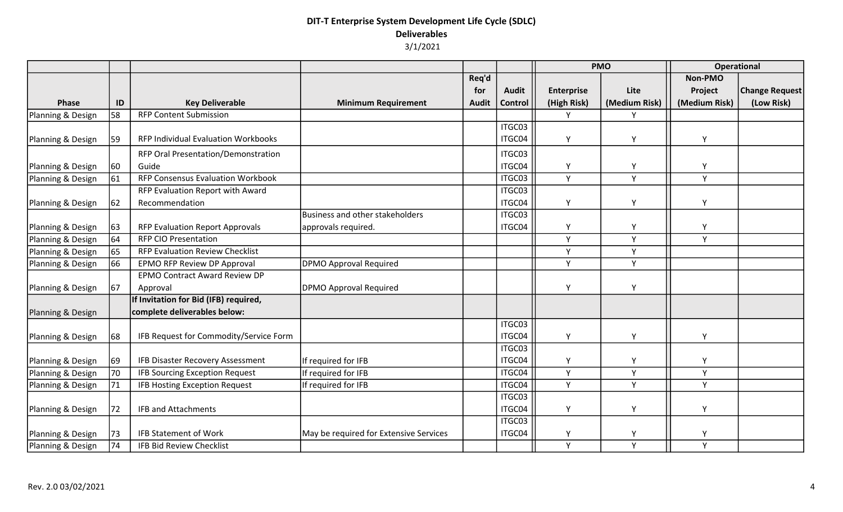|                   |    |                                          |                                        |              |              | <b>PMO</b>        |               | <b>Operational</b> |                       |
|-------------------|----|------------------------------------------|----------------------------------------|--------------|--------------|-------------------|---------------|--------------------|-----------------------|
|                   |    |                                          |                                        | Req'd        |              |                   |               | Non-PMO            |                       |
|                   |    |                                          |                                        | for          | <b>Audit</b> | <b>Enterprise</b> | Lite          | Project            | <b>Change Request</b> |
| Phase             | ID | <b>Key Deliverable</b>                   | <b>Minimum Requirement</b>             | <b>Audit</b> | Control      | (High Risk)       | (Medium Risk) | (Medium Risk)      | (Low Risk)            |
| Planning & Design | 58 | <b>RFP Content Submission</b>            |                                        |              |              | Y                 | Y             |                    |                       |
|                   |    |                                          |                                        |              | ITGC03       |                   |               |                    |                       |
| Planning & Design | 59 | RFP Individual Evaluation Workbooks      |                                        |              | ITGC04       | Y                 | Υ             | Y                  |                       |
|                   |    | RFP Oral Presentation/Demonstration      |                                        |              | ITGC03       |                   |               |                    |                       |
| Planning & Design | 60 | Guide                                    |                                        |              | ITGC04       | Υ                 | Υ             | Υ                  |                       |
| Planning & Design | 61 | <b>RFP Consensus Evaluation Workbook</b> |                                        |              | ITGC03       | Y                 | Y             | Y                  |                       |
|                   |    | RFP Evaluation Report with Award         |                                        |              | ITGC03       |                   |               |                    |                       |
| Planning & Design | 62 | Recommendation                           |                                        |              | ITGC04       | Υ                 | Υ             | Y                  |                       |
|                   |    |                                          | Business and other stakeholders        |              | ITGC03       |                   |               |                    |                       |
| Planning & Design | 63 | <b>RFP Evaluation Report Approvals</b>   | approvals required.                    |              | ITGC04       | Υ                 | Υ             | Y                  |                       |
| Planning & Design | 64 | <b>RFP CIO Presentation</b>              |                                        |              |              | Y                 | Υ             | Y                  |                       |
| Planning & Design | 65 | <b>RFP Evaluation Review Checklist</b>   |                                        |              |              | Y                 | Y             |                    |                       |
| Planning & Design | 66 | <b>EPMO RFP Review DP Approval</b>       | DPMO Approval Required                 |              |              | Y                 | Y             |                    |                       |
|                   |    | <b>EPMO Contract Award Review DP</b>     |                                        |              |              |                   |               |                    |                       |
| Planning & Design | 67 | Approval                                 | DPMO Approval Required                 |              |              | Υ                 | Υ             |                    |                       |
|                   |    | If Invitation for Bid (IFB) required,    |                                        |              |              |                   |               |                    |                       |
| Planning & Design |    | complete deliverables below:             |                                        |              |              |                   |               |                    |                       |
|                   |    |                                          |                                        |              | ITGC03       |                   |               |                    |                       |
| Planning & Design | 68 | IFB Request for Commodity/Service Form   |                                        |              | ITGC04       | Y                 | Y             | Y                  |                       |
|                   |    |                                          |                                        |              | ITGC03       |                   |               |                    |                       |
| Planning & Design | 69 | <b>IFB Disaster Recovery Assessment</b>  | If required for IFB                    |              | ITGC04       | Υ                 | Υ             | γ                  |                       |
| Planning & Design | 70 | <b>IFB Sourcing Exception Request</b>    | If required for IFB                    |              | ITGC04       | Y                 | Υ             | Y                  |                       |
| Planning & Design | 71 | <b>IFB Hosting Exception Request</b>     | If required for IFB                    |              | ITGC04       | Y                 | Y             | Y                  |                       |
|                   |    |                                          |                                        |              | ITGC03       |                   |               |                    |                       |
| Planning & Design | 72 | <b>IFB and Attachments</b>               |                                        |              | ITGC04       | Υ                 | Υ             | Y                  |                       |
|                   |    |                                          |                                        |              | ITGC03       |                   |               |                    |                       |
| Planning & Design | 73 | <b>IFB Statement of Work</b>             | May be required for Extensive Services |              | ITGC04       | Y                 | Υ             | γ                  |                       |
| Planning & Design | 74 | <b>IFB Bid Review Checklist</b>          |                                        |              |              | Y                 | Y             | Y                  |                       |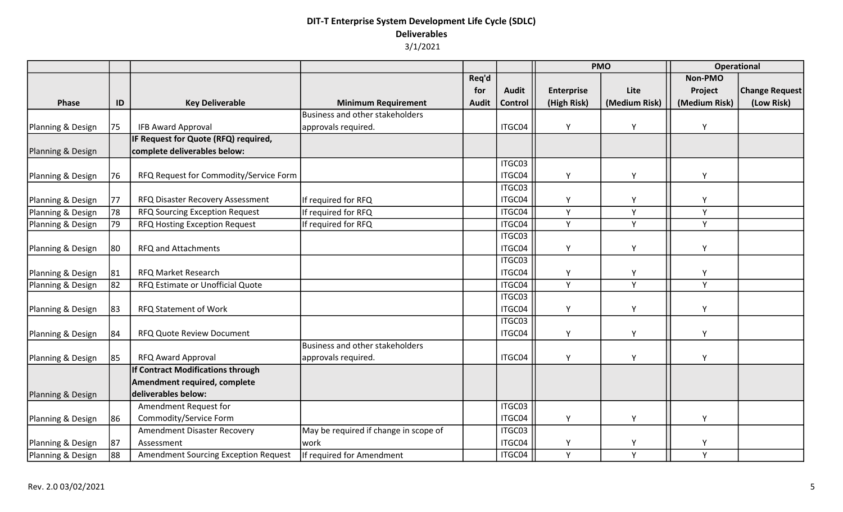|                   |    |                                             |                                       |              |              | <b>PMO</b>        |               | <b>Operational</b> |                       |
|-------------------|----|---------------------------------------------|---------------------------------------|--------------|--------------|-------------------|---------------|--------------------|-----------------------|
|                   |    |                                             |                                       | Req'd        |              |                   |               | Non-PMO            |                       |
|                   |    |                                             |                                       | for          | <b>Audit</b> | <b>Enterprise</b> | Lite          | Project            | <b>Change Request</b> |
| Phase             | ID | <b>Key Deliverable</b>                      | <b>Minimum Requirement</b>            | <b>Audit</b> | Control      | (High Risk)       | (Medium Risk) | (Medium Risk)      | (Low Risk)            |
|                   |    |                                             | Business and other stakeholders       |              |              |                   |               |                    |                       |
| Planning & Design | 75 | <b>IFB Award Approval</b>                   | approvals required.                   |              | ITGC04       | Y                 | Y             | Y                  |                       |
|                   |    | IF Request for Quote (RFQ) required,        |                                       |              |              |                   |               |                    |                       |
| Planning & Design |    | complete deliverables below:                |                                       |              |              |                   |               |                    |                       |
|                   |    |                                             |                                       |              | ITGC03       |                   |               |                    |                       |
| Planning & Design | 76 | RFQ Request for Commodity/Service Form      |                                       |              | ITGC04       | Y                 | Υ             | Υ                  |                       |
|                   |    |                                             |                                       |              | ITGC03       |                   |               |                    |                       |
| Planning & Design | 77 | RFQ Disaster Recovery Assessment            | If required for RFQ                   |              | ITGC04       | Υ                 | Υ             | Υ                  |                       |
| Planning & Design | 78 | <b>RFQ Sourcing Exception Request</b>       | If required for RFQ                   |              | ITGC04       | Y                 | Y             | Y                  |                       |
| Planning & Design | 79 | RFQ Hosting Exception Request               | If required for RFQ                   |              | ITGC04       | Y                 | Y             | Y                  |                       |
|                   |    |                                             |                                       |              | ITGC03       |                   |               |                    |                       |
| Planning & Design | 80 | <b>RFQ and Attachments</b>                  |                                       |              | ITGC04       | Y                 | Y             | Y                  |                       |
|                   |    |                                             |                                       |              | ITGC03       |                   |               |                    |                       |
| Planning & Design | 81 | RFQ Market Research                         |                                       |              | ITGC04       | Υ                 | Y             | Y                  |                       |
| Planning & Design | 82 | RFQ Estimate or Unofficial Quote            |                                       |              | ITGC04       | Y                 | Y             | Y                  |                       |
|                   |    |                                             |                                       |              | ITGC03       |                   |               |                    |                       |
| Planning & Design | 83 | <b>RFQ Statement of Work</b>                |                                       |              | ITGC04       | Y                 | Y             | Y                  |                       |
|                   |    |                                             |                                       |              | ITGC03       |                   |               |                    |                       |
| Planning & Design | 84 | RFQ Quote Review Document                   |                                       |              | ITGC04       | Υ                 | Y             | Υ                  |                       |
|                   |    |                                             | Business and other stakeholders       |              |              |                   |               |                    |                       |
| Planning & Design | 85 | <b>RFQ Award Approval</b>                   | approvals required.                   |              | ITGC04       | Y                 | Y             | Y                  |                       |
|                   |    | If Contract Modifications through           |                                       |              |              |                   |               |                    |                       |
|                   |    | Amendment required, complete                |                                       |              |              |                   |               |                    |                       |
| Planning & Design |    | deliverables below:                         |                                       |              |              |                   |               |                    |                       |
|                   |    | Amendment Request for                       |                                       |              | ITGC03       |                   |               |                    |                       |
| Planning & Design | 86 | Commodity/Service Form                      |                                       |              | ITGC04       | Υ                 | Y             | Υ                  |                       |
|                   |    | Amendment Disaster Recovery                 | May be required if change in scope of |              | ITGC03       |                   |               |                    |                       |
| Planning & Design | 87 | Assessment                                  | work                                  |              | ITGC04       | Y                 | Υ             | Y                  |                       |
| Planning & Design | 88 | <b>Amendment Sourcing Exception Request</b> | If required for Amendment             |              | ITGC04       | Y                 | Y             | Y                  |                       |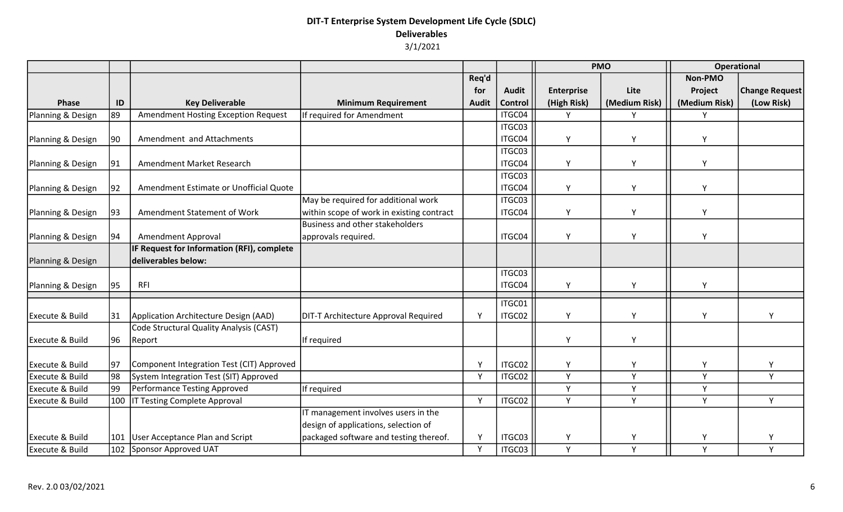|                            |              |                                                   |                                             |              |              | <b>PMO</b>        |               | <b>Operational</b> |                       |
|----------------------------|--------------|---------------------------------------------------|---------------------------------------------|--------------|--------------|-------------------|---------------|--------------------|-----------------------|
|                            |              |                                                   |                                             | Req'd        |              |                   |               | Non-PMO            |                       |
|                            |              |                                                   |                                             | for          | <b>Audit</b> | <b>Enterprise</b> | Lite          | Project            | <b>Change Request</b> |
| <b>Phase</b>               | ID           | <b>Key Deliverable</b>                            | <b>Minimum Requirement</b>                  | <b>Audit</b> | Control      | (High Risk)       | (Medium Risk) | (Medium Risk)      | (Low Risk)            |
| Planning & Design          | 89           | Amendment Hosting Exception Request               | If required for Amendment                   |              | ITGC04       | Y                 | Y             | Y                  |                       |
|                            |              |                                                   |                                             |              | ITGC03       |                   |               |                    |                       |
| Planning & Design          | $ 90\rangle$ | Amendment and Attachments                         |                                             |              | ITGC04       | Y                 | Υ             | Y                  |                       |
|                            |              |                                                   |                                             |              | ITGC03       |                   |               |                    |                       |
| Planning & Design          | 91           | Amendment Market Research                         |                                             |              | ITGC04       | Y                 | Y             | Y                  |                       |
|                            |              |                                                   |                                             |              | ITGC03       |                   |               |                    |                       |
| Planning & Design          | 92           | Amendment Estimate or Unofficial Quote            |                                             |              | ITGC04       | Y                 | Y             | Y                  |                       |
|                            |              |                                                   | May be required for additional work         |              | ITGC03       |                   |               |                    |                       |
| Planning & Design          | 93           | Amendment Statement of Work                       | within scope of work in existing contract   |              | ITGC04       | Y                 | Y             | Y                  |                       |
|                            |              |                                                   | Business and other stakeholders             |              |              |                   |               |                    |                       |
| Planning & Design          | 94           | Amendment Approval                                | approvals required.                         |              | ITGC04       | Y                 | Y             | Y                  |                       |
|                            |              | <b>IF Request for Information (RFI), complete</b> |                                             |              |              |                   |               |                    |                       |
| Planning & Design          |              | deliverables below:                               |                                             |              |              |                   |               |                    |                       |
|                            |              |                                                   |                                             |              | ITGC03       |                   |               |                    |                       |
| Planning & Design          | 95           | <b>RFI</b>                                        |                                             |              | ITGC04       | Y                 | Y             | Y                  |                       |
|                            |              |                                                   |                                             |              | ITGC01       |                   |               |                    |                       |
| <b>Execute &amp; Build</b> | 31           | Application Architecture Design (AAD)             | <b>DIT-T Architecture Approval Required</b> | Y            | ITGC02       | Y                 | Y             | Y                  | Y                     |
|                            |              | Code Structural Quality Analysis (CAST)           |                                             |              |              |                   |               |                    |                       |
| <b>Execute &amp; Build</b> | 96           | Report                                            | If required                                 |              |              | Υ                 | Y             |                    |                       |
|                            |              |                                                   |                                             |              |              |                   |               |                    |                       |
| Execute & Build            | 97           | Component Integration Test (CIT) Approved         |                                             | Y            | ITGC02       | Y                 | Y             | Y                  | Y                     |
| Execute & Build            | 98           | System Integration Test (SIT) Approved            |                                             | $\mathsf{Y}$ | ITGC02       | Y                 | Y             | Y                  | Y                     |
| Execute & Build            | 99           | Performance Testing Approved                      | If required                                 |              |              | Y                 | Y             | Y                  |                       |
| Execute & Build            |              | 100   IT Testing Complete Approval                |                                             | Y            | ITGC02       | Y                 | Y             | Y                  | Y                     |
|                            |              |                                                   | IT management involves users in the         |              |              |                   |               |                    |                       |
|                            |              |                                                   | design of applications, selection of        |              |              |                   |               |                    |                       |
| <b>Execute &amp; Build</b> |              | 101 User Acceptance Plan and Script               | packaged software and testing thereof.      | Y            | ITGC03       | Y                 | Y             | Y                  | Υ                     |
| <b>Execute &amp; Build</b> |              | 102 Sponsor Approved UAT                          |                                             | Y            | ITGC03       | Y                 | Y             | Y                  | Y                     |